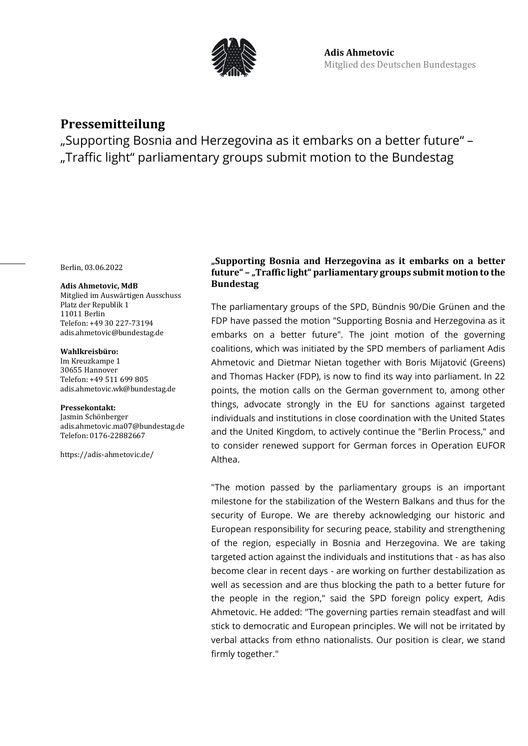

# **Pressemitteilung**

"Supporting Bosnia and Herzegovina as it embarks on a better future" – "Traffic light" parliamentary groups submit motion to the Bundestag

Berlin, 03.06.2022

#### **Adis Ahmetovic, MdB**

Mitglied im Auswärtigen Ausschuss Platz der Republik 1 11011 Berlin Telefon: +49 30 227-73194 adis.ahmetovic@bundestag.de

#### **Wahlkreisbüro:**

Im Kreuzkampe 1 30655 Hannover Telefon: +49 511 699 805 [adis.ahmetovic.wk@bundestag.de](mailto:adis.ahmetovic.wk@bundestag.de)

### **Pressekontakt:**

Jasmin Schönberger adis.ahmetovic.ma07@bundestag.de Telefon[: 0176-22882667](mailto:adis.ahmetovic.wk@bundestag.de)

<https://adis-ahmetovic.de/>

## **"Supporting Bosnia and Herzegovina as it embarks on a better future" – "Traffic light" parliamentary groups submit motion to the Bundestag**

The parliamentary groups of the SPD, Bündnis 90/Die Grünen and the FDP have passed the motion "Supporting Bosnia and Herzegovina as it embarks on a better future". The joint motion of the governing coalitions, which was initiated by the SPD members of parliament Adis Ahmetovic and Dietmar Nietan together with Boris Mijatović (Greens) and Thomas Hacker (FDP), is now to find its way into parliament. In 22 points, the motion calls on the German government to, among other things, advocate strongly in the EU for sanctions against targeted individuals and institutions in close coordination with the United States and the United Kingdom, to actively continue the "Berlin Process," and to consider renewed support for German forces in Operation EUFOR Althea.

"The motion passed by the parliamentary groups is an important milestone for the stabilization of the Western Balkans and thus for the security of Europe. We are thereby acknowledging our historic and European responsibility for securing peace, stability and strengthening of the region, especially in Bosnia and Herzegovina. We are taking targeted action against the individuals and institutions that - as has also become clear in recent days - are working on further destabilization as well as secession and are thus blocking the path to a better future for the people in the region," said the SPD foreign policy expert, Adis Ahmetovic. He added: "The governing parties remain steadfast and will stick to democratic and European principles. We will not be irritated by verbal attacks from ethno nationalists. Our position is clear, we stand firmly together."